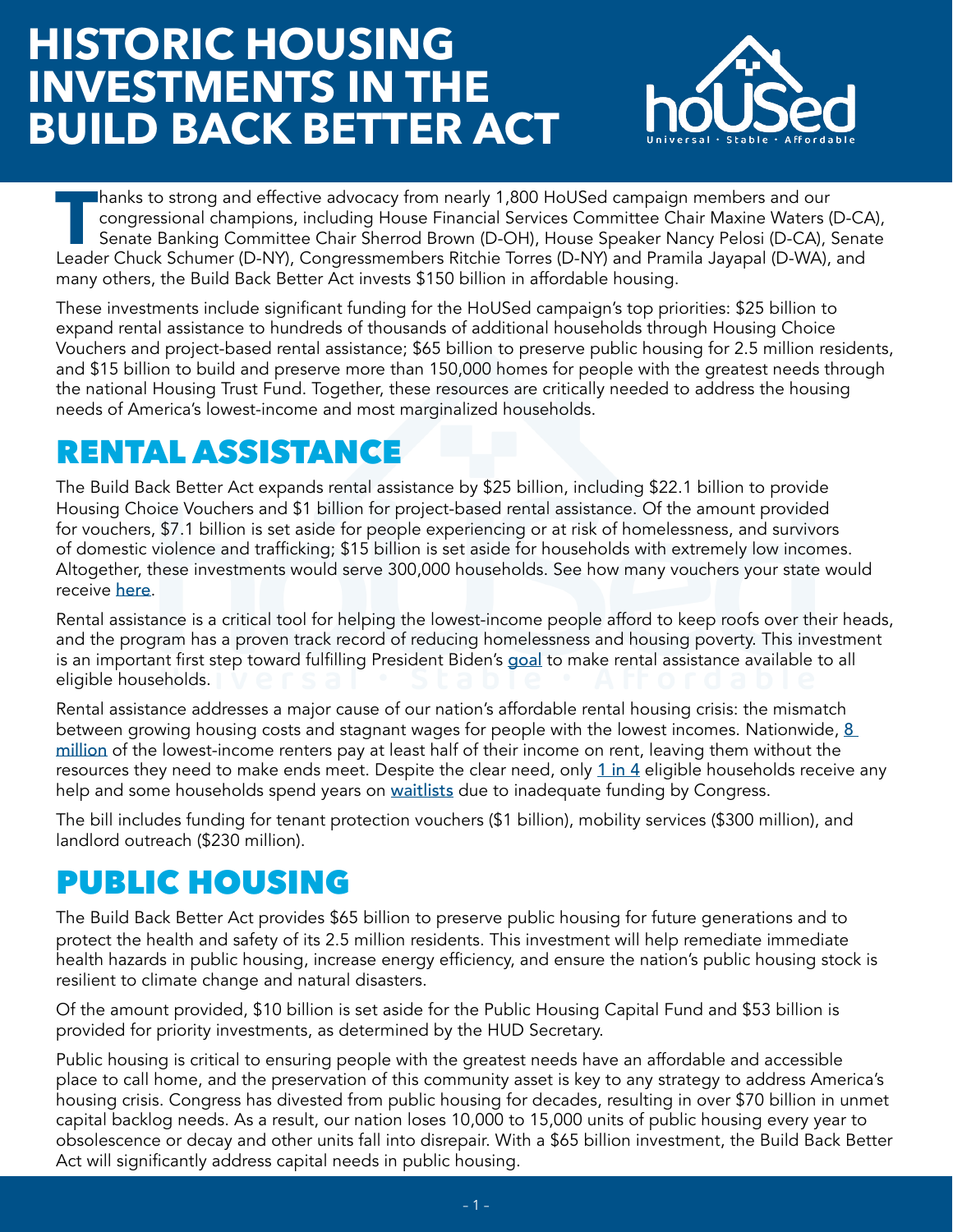# **HISTORIC HOUSING INVESTMENTS IN THE BUILD BACK BETTER ACT**



**Thanks to strong and effective advocacy from nearly [1,800 HoUSed campaign members](https://nlihc.org/sites/default/files/Sign_On_Letter.pdf) and our congressional champions, including House Financial Services Committee Chair Maxine Waters (D-CA) Senate Banking Committee Chair She** congressional champions, including House Financial Services Committee Chair Maxine Waters (D-CA), Senate Banking Committee Chair Sherrod Brown (D-OH), House Speaker Nancy Pelosi (D-CA), Senate many others, the Build Back Better Act invests \$150 billion in affordable housing.

These investments include significant funding for the HoUSed campaign's top priorities: \$25 billion to expand rental assistance to hundreds of thousands of additional households through Housing Choice Vouchers and project-based rental assistance; \$65 billion to preserve public housing for 2.5 million residents, and \$15 billion to build and preserve more than 150,000 homes for people with the greatest needs through the national Housing Trust Fund. Together, these resources are critically needed to address the housing needs of America's lowest-income and most marginalized households.

# RENTAL ASSISTANCE

The Build Back Better Act expands rental assistance by \$25 billion, including \$22.1 billion to provide Housing Choice Vouchers and \$1 billion for project-based rental assistance. Of the amount provided for vouchers, \$7.1 billion is set aside for people experiencing or at risk of homelessness, and survivors of domestic violence and trafficking; \$15 billion is set aside for households with extremely low incomes. Altogether, these investments would serve 300,000 households. See how many vouchers your state would receive [here](https://www.cbpp.org/blog/bbb-includes-major-investments-in-housing-affordability?utm_source=NLIHC+All+Subscribers&utm_campaign=13897dac93-CTA_housed_110421&utm_medium=email&utm_term=0_e090383b5e-13897dac93-293290537&ct=t(CTA_housed_110421)).

Rental assistance is a critical tool for helping the lowest-income people afford to keep roofs over their heads, and the program has a proven track record of reducing homelessness and housing poverty. This investment is an important first step toward fulfilling President Biden's [goal](https://joebiden.com/housing/) to make rental assistance available to all eligible households.

Rental assistance addresses a major cause of our nation's affordable rental housing crisis: the mismatch between growing housing costs and stagnant wages for people with the lowest incomes. Nationwide, [8](http://www.nlihc.org/oor)  [million](http://www.nlihc.org/oor) of the lowest-income renters pay at least half of their income on rent, leaving them without the resources they need to make ends meet. Despite the clear need, only [1 in 4](https://www.cbpp.org/research/housing/three-out-of-four-low-income-at-risk-renters-do-not-receive-federal-rental-assistance) eligible households receive any help and some households spend years on [waitlists](https://nlihc.org/resource/millions-families-voucher-and-public-housing-waiting-lists) due to inadequate funding by Congress.

The bill includes funding for tenant protection vouchers (\$1 billion), mobility services (\$300 million), and landlord outreach (\$230 million).

## PUBLIC HOUSING

The Build Back Better Act provides \$65 billion to preserve public housing for future generations and to protect the health and safety of its 2.5 million residents. This investment will help remediate immediate health hazards in public housing, increase energy efficiency, and ensure the nation's public housing stock is resilient to climate change and natural disasters.

Of the amount provided, \$10 billion is set aside for the Public Housing Capital Fund and \$53 billion is provided for priority investments, as determined by the HUD Secretary.

Public housing is critical to ensuring people with the greatest needs have an affordable and accessible place to call home, and the preservation of this community asset is key to any strategy to address America's housing crisis. Congress has divested from public housing for decades, resulting in over \$70 billion in unmet capital backlog needs. As a result, our nation loses 10,000 to 15,000 units of public housing every year to obsolescence or decay and other units fall into disrepair. With a \$65 billion investment, the Build Back Better Act will significantly address capital needs in public housing.